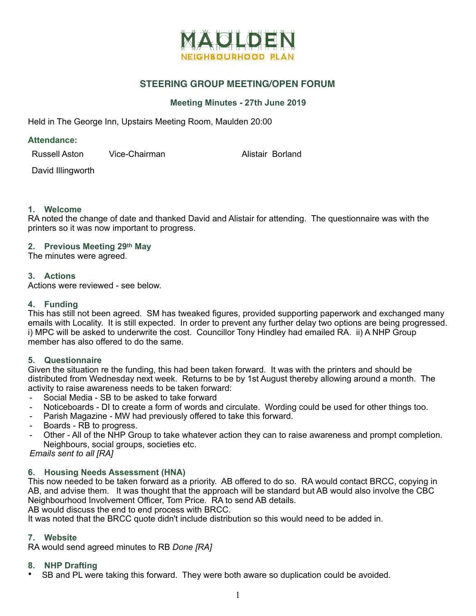

# **STEERING GROUP MEETING/OPEN FORUM**

## **Meeting Minutes - 27th June 2019**

Held in The George Inn, Upstairs Meeting Room, Maulden 20:00

#### **Attendance:**

Russell Aston Vice-Chairman Mussell Aston Vice-Chairman

David Illingworth

## **1. Welcome**

RA noted the change of date and thanked David and Alistair for attending. The questionnaire was with the printers so it was now important to progress.

### **2. Previous Meeting 29th May**

The minutes were agreed.

### **3. Actions**

Actions were reviewed - see below.

### **4. Funding**

This has still not been agreed. SM has tweaked figures, provided supporting paperwork and exchanged many emails with Locality. It is still expected. In order to prevent any further delay two options are being progressed. i) MPC will be asked to underwrite the cost. Councillor Tony Hindley had emailed RA. ii) A NHP Group member has also offered to do the same.

### **5. Questionnaire**

Given the situation re the funding, this had been taken forward. It was with the printers and should be distributed from Wednesday next week. Returns to be by 1st August thereby allowing around a month. The activity to raise awareness needs to be taken forward:

- Social Media SB to be asked to take forward
- Noticeboards DI to create a form of words and circulate. Wording could be used for other things too.
- Parish Magazine MW had previously offered to take this forward.
- Boards RB to progress.
- Other All of the NHP Group to take whatever action they can to raise awareness and prompt completion. Neighbours, social groups, societies etc.

*Emails sent to all [RA]* 

### **6. Housing Needs Assessment (HNA)**

This now needed to be taken forward as a priority. AB offered to do so. RA would contact BRCC, copying in AB, and advise them. It was thought that the approach will be standard but AB would also involve the CBC Neighbourhood Involvement Officer, Tom Price. RA to send AB details.

AB would discuss the end to end process with BRCC.

It was noted that the BRCC quote didn't include distribution so this would need to be added in.

### **7. Website**

RA would send agreed minutes to RB *Done [RA]*

### **8. NHP Drafting**

• SB and PL were taking this forward. They were both aware so duplication could be avoided.